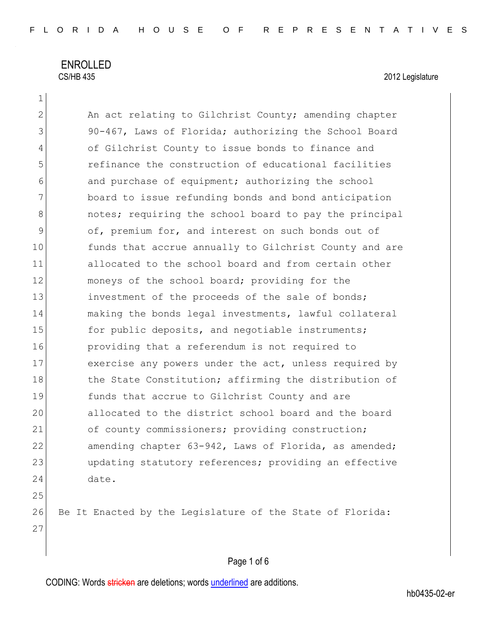ENROLLED<br>CS/HB 435

2012 Legislature

| $\mathbf{2}$   | An act relating to Gilchrist County; amending chapter     |
|----------------|-----------------------------------------------------------|
| 3              | 90-467, Laws of Florida; authorizing the School Board     |
| $\overline{4}$ | of Gilchrist County to issue bonds to finance and         |
| 5              | refinance the construction of educational facilities      |
| 6              | and purchase of equipment; authorizing the school         |
| 7              | board to issue refunding bonds and bond anticipation      |
| $8\,$          | notes; requiring the school board to pay the principal    |
| $\mathcal{G}$  | of, premium for, and interest on such bonds out of        |
| 10             | funds that accrue annually to Gilchrist County and are    |
| 11             | allocated to the school board and from certain other      |
| 12             | moneys of the school board; providing for the             |
| 13             | investment of the proceeds of the sale of bonds;          |
| 14             | making the bonds legal investments, lawful collateral     |
| 15             | for public deposits, and negotiable instruments;          |
| 16             | providing that a referendum is not required to            |
| 17             | exercise any powers under the act, unless required by     |
| 18             | the State Constitution; affirming the distribution of     |
| 19             | funds that accrue to Gilchrist County and are             |
| 20             | allocated to the district school board and the board      |
| 21             | of county commissioners; providing construction;          |
| 22             | amending chapter 63-942, Laws of Florida, as amended;     |
| 23             | updating statutory references; providing an effective     |
| 24             | date.                                                     |
| 25             |                                                           |
| 26             | Be It Enacted by the Legislature of the State of Florida: |
| 27             |                                                           |
|                |                                                           |
|                |                                                           |

# Page 1 of 6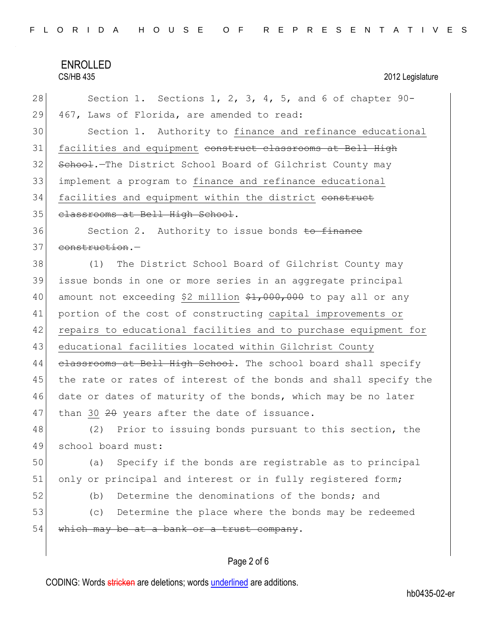# ENROLLED<br>CS/HB 435

# 2012 Legislature

| 28 | Section 1. Sections 1, 2, 3, 4, 5, and 6 of chapter $90 -$       |
|----|------------------------------------------------------------------|
| 29 | 467, Laws of Florida, are amended to read:                       |
| 30 | Section 1. Authority to finance and refinance educational        |
| 31 | facilities and equipment construct classrooms at Bell High       |
| 32 | School. The District School Board of Gilchrist County may        |
| 33 | implement a program to finance and refinance educational         |
| 34 | facilities and equipment within the district construct           |
| 35 | classrooms at Bell High School.                                  |
| 36 | Section 2. Authority to issue bonds to finance                   |
| 37 | construction.-                                                   |
| 38 | The District School Board of Gilchrist County may<br>(1)         |
| 39 | issue bonds in one or more series in an aggregate principal      |
| 40 | amount not exceeding \$2 million \$1,000,000 to pay all or any   |
| 41 | portion of the cost of constructing capital improvements or      |
| 42 | repairs to educational facilities and to purchase equipment for  |
| 43 | educational facilities located within Gilchrist County           |
| 44 | elassrooms at Bell High School. The school board shall specify   |
| 45 | the rate or rates of interest of the bonds and shall specify the |
| 46 | date or dates of maturity of the bonds, which may be no later    |
| 47 | than 30 20 years after the date of issuance.                     |
| 48 | (2) Prior to issuing bonds pursuant to this section, the         |
| 49 | school board must:                                               |
| 50 | Specify if the bonds are registrable as to principal<br>(a)      |
| 51 | only or principal and interest or in fully registered form;      |
| 52 | Determine the denominations of the bonds; and<br>(b)             |
| 53 | Determine the place where the bonds may be redeemed<br>(C)       |
| 54 | which may be at a bank or a trust company.                       |
|    |                                                                  |
|    |                                                                  |

# Page 2 of 6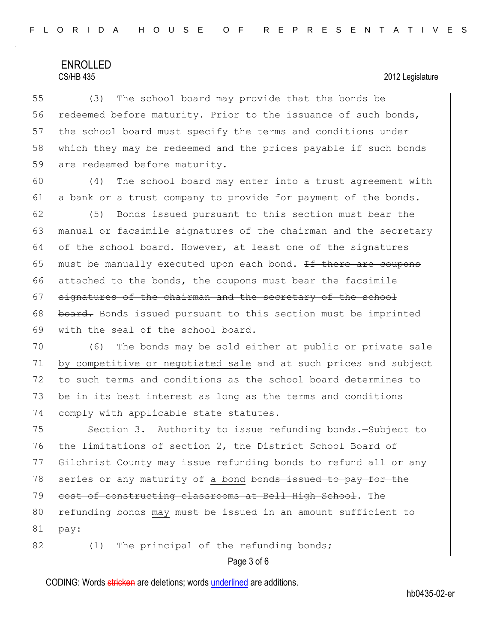55 (3) The school board may provide that the bonds be 56 redeemed before maturity. Prior to the issuance of such bonds, 57 the school board must specify the terms and conditions under 58 which they may be redeemed and the prices payable if such bonds 59 are redeemed before maturity.

60 (4) The school board may enter into a trust agreement with 61 a bank or a trust company to provide for payment of the bonds.

62 (5) Bonds issued pursuant to this section must bear the 63 manual or facsimile signatures of the chairman and the secretary 64 of the school board. However, at least one of the signatures 65 must be manually executed upon each bond. If there are coupons 66 attached to the bonds, the coupons must bear the facsimile 67 signatures of the chairman and the secretary of the school 68 board. Bonds issued pursuant to this section must be imprinted 69 with the seal of the school board.

70 (6) The bonds may be sold either at public or private sale 71 by competitive or negotiated sale and at such prices and subject 72 to such terms and conditions as the school board determines to 73 be in its best interest as long as the terms and conditions 74 comply with applicable state statutes.

75 Section 3. Authority to issue refunding bonds. - Subject to 76 the limitations of section 2, the District School Board of 77 Gilchrist County may issue refunding bonds to refund all or any 78 series or any maturity of a bond bonds issued to pay for the 79 cost of constructing classrooms at Bell High School. The 80 refunding bonds may must be issued in an amount sufficient to 81 pay:

 $82$  (1) The principal of the refunding bonds;

Page 3 of 6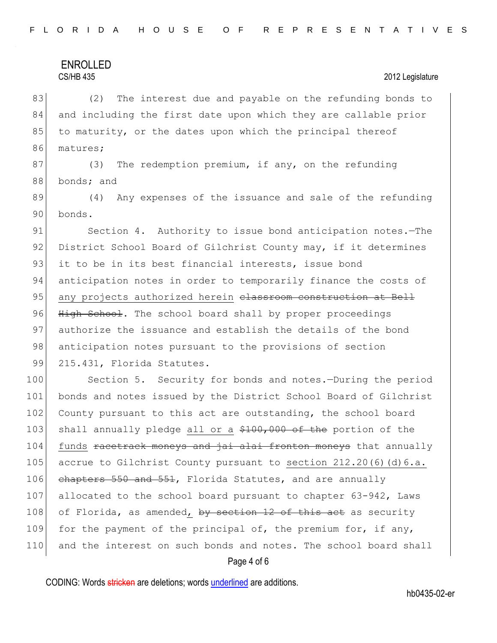83 (2) The interest due and payable on the refunding bonds to 84 and including the first date upon which they are callable prior 85 to maturity, or the dates upon which the principal thereof 86 matures;

87 (3) The redemption premium, if any, on the refunding 88 bonds; and

89 (4) Any expenses of the issuance and sale of the refunding 90 bonds.

91 Section 4. Authority to issue bond anticipation notes. The 92 District School Board of Gilchrist County may, if it determines 93 it to be in its best financial interests, issue bond 94 anticipation notes in order to temporarily finance the costs of 95 any projects authorized herein classroom construction at Bell 96 High School. The school board shall by proper proceedings 97 authorize the issuance and establish the details of the bond 98 anticipation notes pursuant to the provisions of section 99 215.431, Florida Statutes.

100 Section 5. Security for bonds and notes.-During the period 101 bonds and notes issued by the District School Board of Gilchrist 102 County pursuant to this act are outstanding, the school board 103 shall annually pledge all or a \$100,000 of the portion of the 104 funds racetrack moneys and jai alai fronton moneys that annually 105 accrue to Gilchrist County pursuant to section 212.20(6)(d)6.a. 106 chapters 550 and 551, Florida Statutes, and are annually 107 allocated to the school board pursuant to chapter 63-942, Laws 108 of Florida, as amended, by section 12 of this act as security 109 for the payment of the principal of, the premium for, if any, 110 and the interest on such bonds and notes. The school board shall

### Page 4 of 6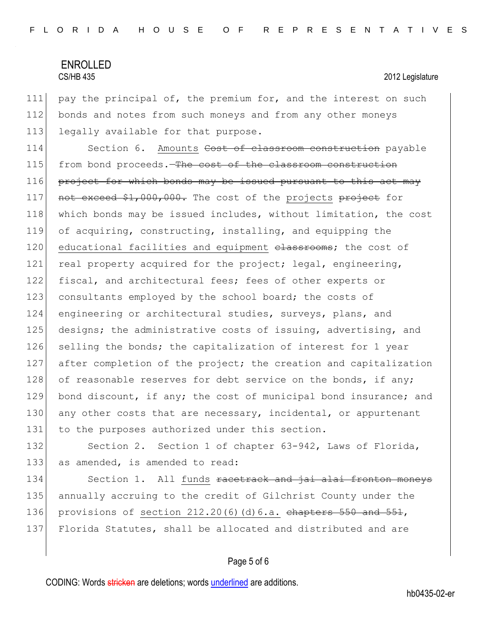111 pay the principal of, the premium for, and the interest on such 112 bonds and notes from such moneys and from any other moneys 113 legally available for that purpose.

114 Section 6. Amounts Cost of classroom construction payable 115 from bond proceeds. The cost of the classroom construction  $116$  project for which bonds may be issued pursuant to this act may 117 not exceed \$1,000,000. The cost of the projects project for 118 which bonds may be issued includes, without limitation, the cost 119 of acquiring, constructing, installing, and equipping the 120 educational facilities and equipment classrooms; the cost of 121 real property acquired for the project; legal, engineering, 122 fiscal, and architectural fees; fees of other experts or 123 consultants employed by the school board; the costs of 124 engineering or architectural studies, surveys, plans, and 125 designs; the administrative costs of issuing, advertising, and 126 selling the bonds; the capitalization of interest for 1 year 127 after completion of the project; the creation and capitalization 128 of reasonable reserves for debt service on the bonds, if any; 129 bond discount, if any; the cost of municipal bond insurance; and 130 any other costs that are necessary, incidental, or appurtenant 131 to the purposes authorized under this section.

132 Section 2. Section 1 of chapter 63-942, Laws of Florida, 133 as amended, is amended to read:

134 Section 1. All funds racetrack and jai alai fronton moneys 135 annually accruing to the credit of Gilchrist County under the 136 provisions of section  $212.20(6)(d)6.a.$  chapters  $550$  and  $551$ , 137 Florida Statutes, shall be allocated and distributed and are

### Page 5 of 6